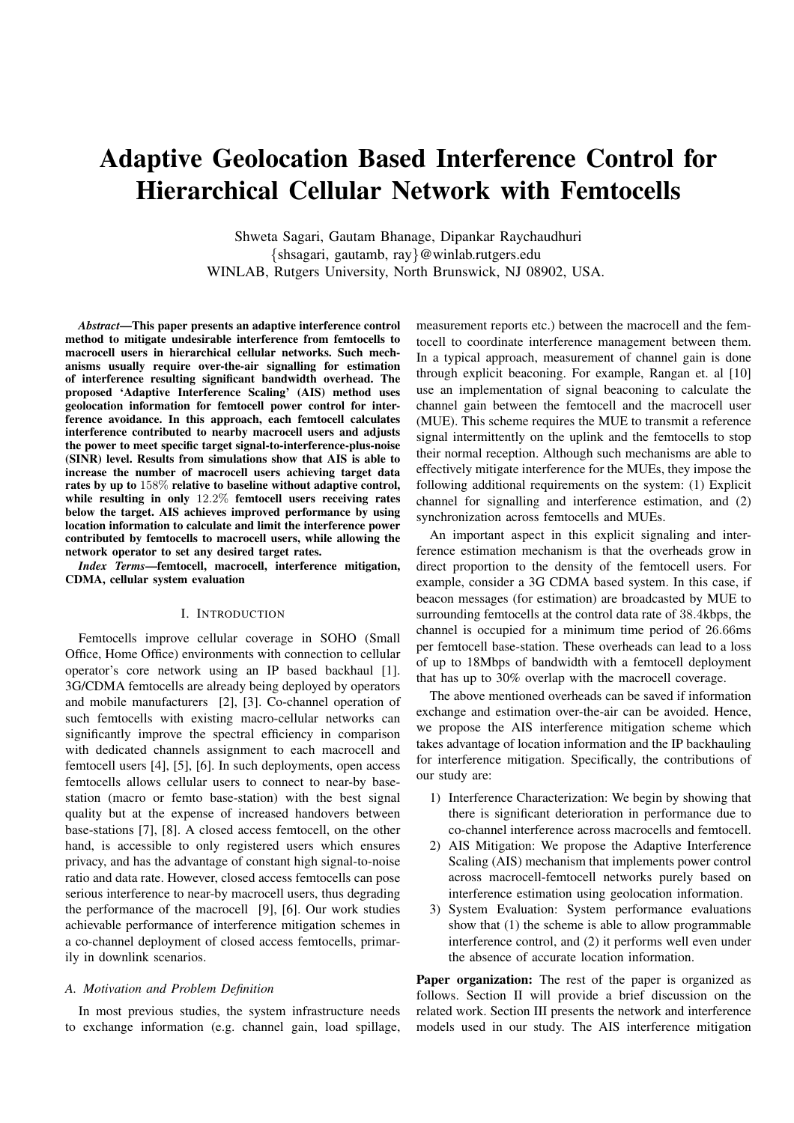# Adaptive Geolocation Based Interference Control for Hierarchical Cellular Network with Femtocells

Shweta Sagari, Gautam Bhanage, Dipankar Raychaudhuri {shsagari, gautamb, ray}@winlab.rutgers.edu WINLAB, Rutgers University, North Brunswick, NJ 08902, USA.

*Abstract*—This paper presents an adaptive interference control method to mitigate undesirable interference from femtocells to macrocell users in hierarchical cellular networks. Such mechanisms usually require over-the-air signalling for estimation of interference resulting significant bandwidth overhead. The proposed 'Adaptive Interference Scaling' (AIS) method uses geolocation information for femtocell power control for interference avoidance. In this approach, each femtocell calculates interference contributed to nearby macrocell users and adjusts the power to meet specific target signal-to-interference-plus-noise (SINR) level. Results from simulations show that AIS is able to increase the number of macrocell users achieving target data rates by up to 158% relative to baseline without adaptive control, while resulting in only 12.2% femtocell users receiving rates below the target. AIS achieves improved performance by using location information to calculate and limit the interference power contributed by femtocells to macrocell users, while allowing the network operator to set any desired target rates.

*Index Terms*—femtocell, macrocell, interference mitigation, CDMA, cellular system evaluation

# I. INTRODUCTION

Femtocells improve cellular coverage in SOHO (Small Office, Home Office) environments with connection to cellular operator's core network using an IP based backhaul [1]. 3G/CDMA femtocells are already being deployed by operators and mobile manufacturers [2], [3]. Co-channel operation of such femtocells with existing macro-cellular networks can significantly improve the spectral efficiency in comparison with dedicated channels assignment to each macrocell and femtocell users [4], [5], [6]. In such deployments, open access femtocells allows cellular users to connect to near-by basestation (macro or femto base-station) with the best signal quality but at the expense of increased handovers between base-stations [7], [8]. A closed access femtocell, on the other hand, is accessible to only registered users which ensures privacy, and has the advantage of constant high signal-to-noise ratio and data rate. However, closed access femtocells can pose serious interference to near-by macrocell users, thus degrading the performance of the macrocell [9], [6]. Our work studies achievable performance of interference mitigation schemes in a co-channel deployment of closed access femtocells, primarily in downlink scenarios.

## *A. Motivation and Problem Definition*

In most previous studies, the system infrastructure needs to exchange information (e.g. channel gain, load spillage, measurement reports etc.) between the macrocell and the femtocell to coordinate interference management between them. In a typical approach, measurement of channel gain is done through explicit beaconing. For example, Rangan et. al [10] use an implementation of signal beaconing to calculate the channel gain between the femtocell and the macrocell user (MUE). This scheme requires the MUE to transmit a reference signal intermittently on the uplink and the femtocells to stop their normal reception. Although such mechanisms are able to effectively mitigate interference for the MUEs, they impose the following additional requirements on the system: (1) Explicit channel for signalling and interference estimation, and (2) synchronization across femtocells and MUEs.

An important aspect in this explicit signaling and interference estimation mechanism is that the overheads grow in direct proportion to the density of the femtocell users. For example, consider a 3G CDMA based system. In this case, if beacon messages (for estimation) are broadcasted by MUE to surrounding femtocells at the control data rate of 38.4kbps, the channel is occupied for a minimum time period of 26.66ms per femtocell base-station. These overheads can lead to a loss of up to 18Mbps of bandwidth with a femtocell deployment that has up to 30% overlap with the macrocell coverage.

The above mentioned overheads can be saved if information exchange and estimation over-the-air can be avoided. Hence, we propose the AIS interference mitigation scheme which takes advantage of location information and the IP backhauling for interference mitigation. Specifically, the contributions of our study are:

- 1) Interference Characterization: We begin by showing that there is significant deterioration in performance due to co-channel interference across macrocells and femtocell.
- 2) AIS Mitigation: We propose the Adaptive Interference Scaling (AIS) mechanism that implements power control across macrocell-femtocell networks purely based on interference estimation using geolocation information.
- 3) System Evaluation: System performance evaluations show that (1) the scheme is able to allow programmable interference control, and (2) it performs well even under the absence of accurate location information.

Paper organization: The rest of the paper is organized as follows. Section II will provide a brief discussion on the related work. Section III presents the network and interference models used in our study. The AIS interference mitigation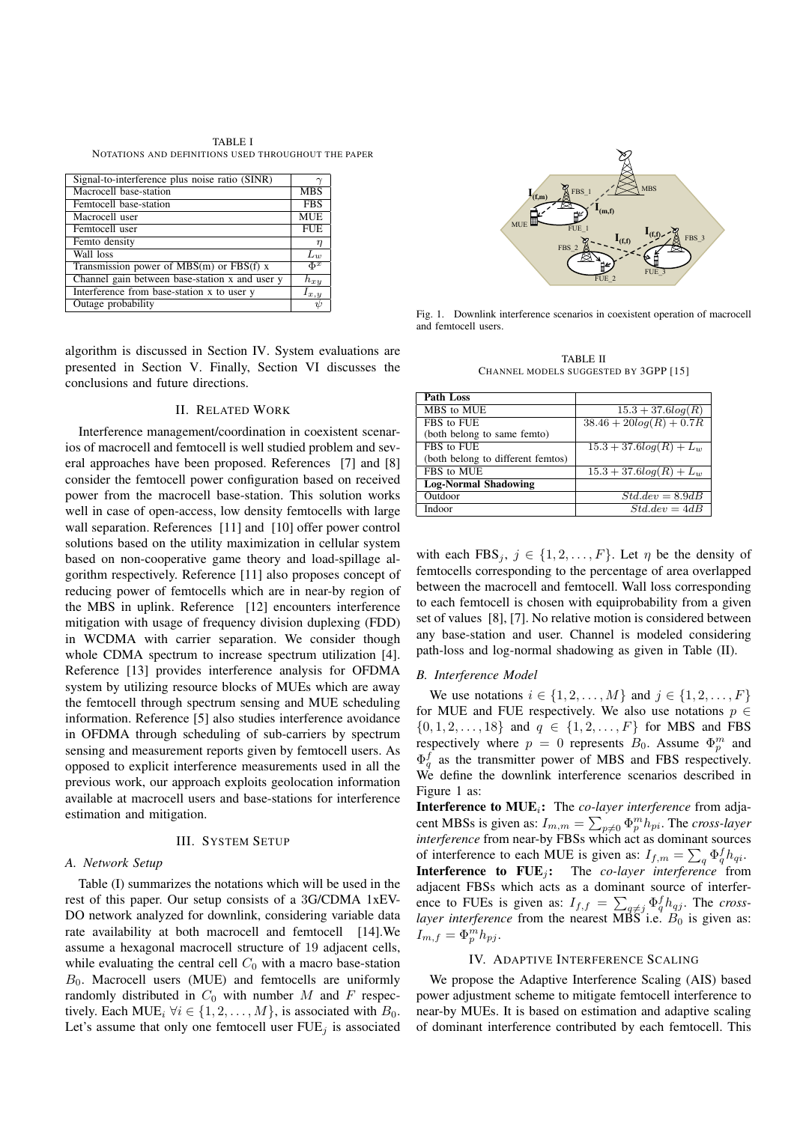TABLE I NOTATIONS AND DEFINITIONS USED THROUGHOUT THE PAPER

| Signal-to-interference plus noise ratio (SINR) |                                    |
|------------------------------------------------|------------------------------------|
| Macrocell base-station                         | <b>MBS</b>                         |
| Femtocell base-station                         | <b>FBS</b>                         |
| Macrocell user                                 | <b>MUE</b>                         |
| Femtocell user                                 | <b>FUE</b>                         |
| Femto density                                  | η                                  |
| Wall loss                                      | $L_w$                              |
| Transmission power of $MBS(m)$ or $FBS(f)$ x   | $\Phi^x$                           |
| Channel gain between base-station x and user y | $h_{xy}$                           |
| Interference from base-station x to user y     | $I_{x,y}$                          |
| Outage probability                             | $\frac{\partial}{\partial \theta}$ |

algorithm is discussed in Section IV. System evaluations are presented in Section V. Finally, Section VI discusses the conclusions and future directions.

# II. RELATED WORK

Interference management/coordination in coexistent scenarios of macrocell and femtocell is well studied problem and several approaches have been proposed. References [7] and [8] consider the femtocell power configuration based on received power from the macrocell base-station. This solution works well in case of open-access, low density femtocells with large wall separation. References [11] and [10] offer power control solutions based on the utility maximization in cellular system based on non-cooperative game theory and load-spillage algorithm respectively. Reference [11] also proposes concept of reducing power of femtocells which are in near-by region of the MBS in uplink. Reference [12] encounters interference mitigation with usage of frequency division duplexing (FDD) in WCDMA with carrier separation. We consider though whole CDMA spectrum to increase spectrum utilization [4]. Reference [13] provides interference analysis for OFDMA system by utilizing resource blocks of MUEs which are away the femtocell through spectrum sensing and MUE scheduling information. Reference [5] also studies interference avoidance in OFDMA through scheduling of sub-carriers by spectrum sensing and measurement reports given by femtocell users. As opposed to explicit interference measurements used in all the previous work, our approach exploits geolocation information available at macrocell users and base-stations for interference estimation and mitigation.

#### III. SYSTEM SETUP

#### *A. Network Setup*

Table (I) summarizes the notations which will be used in the rest of this paper. Our setup consists of a 3G/CDMA 1xEV-DO network analyzed for downlink, considering variable data rate availability at both macrocell and femtocell [14].We assume a hexagonal macrocell structure of 19 adjacent cells, while evaluating the central cell  $C_0$  with a macro base-station  $B_0$ . Macrocell users (MUE) and femtocells are uniformly randomly distributed in  $C_0$  with number M and F respectively. Each MUE<sub>i</sub>  $\forall i \in \{1, 2, ..., M\}$ , is associated with  $B_0$ . Let's assume that only one femtocell user  $FUE<sub>j</sub>$  is associated



Fig. 1. Downlink interference scenarios in coexistent operation of macrocell and femtocell users.

TABLE II CHANNEL MODELS SUGGESTED BY 3GPP [15]

| Path Loss                         |                            |
|-----------------------------------|----------------------------|
| MBS to MUE                        | $15.3 + 37.6log(R)$        |
| FBS to FUE                        | $38.46 + 20log(R) + 0.7R$  |
| (both belong to same femto)       |                            |
| FBS to FUE                        | $15.3 + 37.6log(R) + L_w$  |
| (both belong to different femtos) |                            |
| FBS to MUE                        | $15.3 + 37.6log(R) + L_w$  |
| <b>Log-Normal Shadowing</b>       |                            |
| Outdoor                           | $Std. dev = 8.9dB$         |
| Indoor                            | $\overline{Std.dev} = 4dB$ |

with each FBS<sub>i</sub>,  $j \in \{1, 2, ..., F\}$ . Let  $\eta$  be the density of femtocells corresponding to the percentage of area overlapped between the macrocell and femtocell. Wall loss corresponding to each femtocell is chosen with equiprobability from a given set of values [8], [7]. No relative motion is considered between any base-station and user. Channel is modeled considering path-loss and log-normal shadowing as given in Table (II).

#### *B. Interference Model*

We use notations  $i \in \{1, 2, ..., M\}$  and  $j \in \{1, 2, ..., F\}$ for MUE and FUE respectively. We also use notations  $p \in$  $\{0, 1, 2, \ldots, 18\}$  and  $q \in \{1, 2, \ldots, F\}$  for MBS and FBS respectively where  $p = 0$  represents  $B_0$ . Assume  $\Phi_p^m$  and  $\Phi_q^f$  as the transmitter power of MBS and FBS respectively. We define the downlink interference scenarios described in Figure 1 as:

**Interference to MUE**<sub>i</sub>: The *co-layer interference* from adjacent MBSs is given as:  $I_{m,m} = \sum_{p \neq 0} \Phi_p^m h_{pi}$ . The *cross-layer interference* from near-by FBSs which act as dominant sources of interference to each MUE is given as:  $I_{f,m} = \sum_q \Phi_q^f h_{qi}$ . **Interference to FUE**<sub>j</sub>: The *co-layer interference* from adjacent FBSs which acts as a dominant source of interference to FUEs is given as:  $I_{f,f} = \sum_{q \neq j} \Phi_q^f h_{qj}$ . The *crosslayer interference* from the nearest MBS i.e.  $B_0$  is given as:  $I_{m,f} = \Phi_p^m h_{pj}.$ 

#### IV. ADAPTIVE INTERFERENCE SCALING

We propose the Adaptive Interference Scaling (AIS) based power adjustment scheme to mitigate femtocell interference to near-by MUEs. It is based on estimation and adaptive scaling of dominant interference contributed by each femtocell. This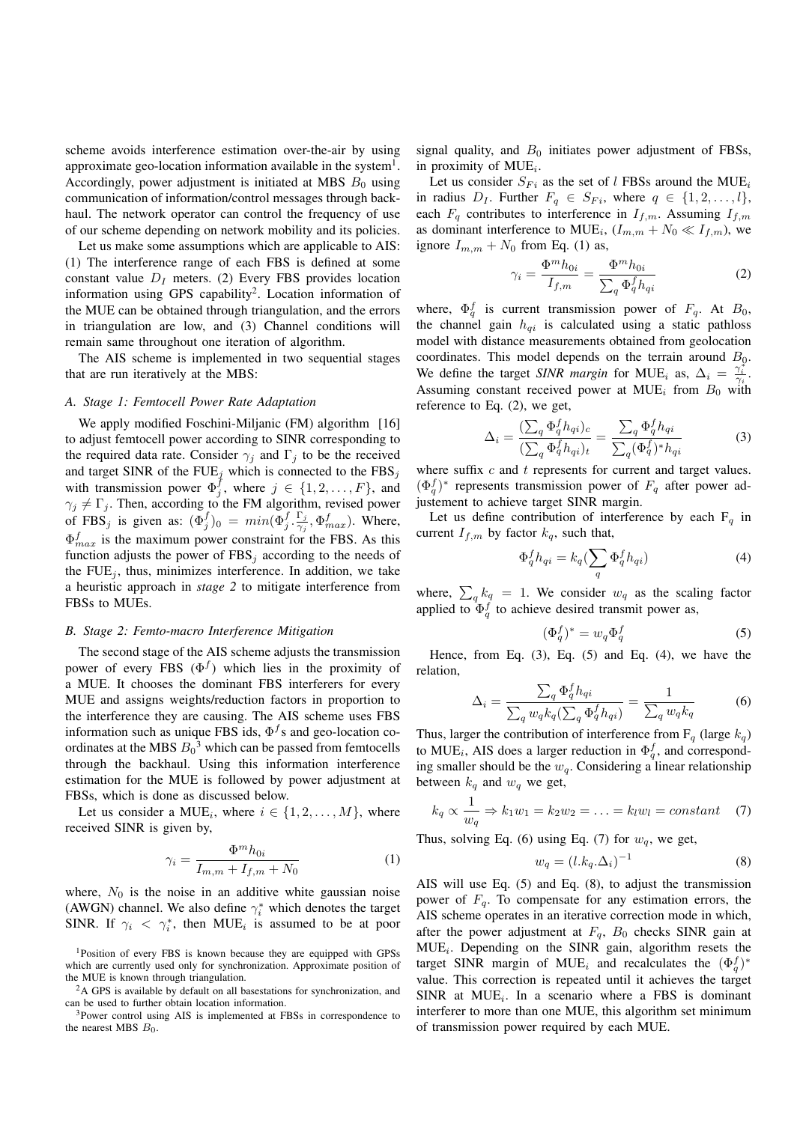scheme avoids interference estimation over-the-air by using approximate geo-location information available in the system $<sup>1</sup>$ .</sup> Accordingly, power adjustment is initiated at MBS  $B_0$  using communication of information/control messages through backhaul. The network operator can control the frequency of use of our scheme depending on network mobility and its policies.

Let us make some assumptions which are applicable to AIS: (1) The interference range of each FBS is defined at some constant value  $D<sub>I</sub>$  meters. (2) Every FBS provides location information using GPS capability<sup>2</sup>. Location information of the MUE can be obtained through triangulation, and the errors in triangulation are low, and (3) Channel conditions will remain same throughout one iteration of algorithm.

The AIS scheme is implemented in two sequential stages that are run iteratively at the MBS:

# *A. Stage 1: Femtocell Power Rate Adaptation*

We apply modified Foschini-Miljanic (FM) algorithm [16] to adjust femtocell power according to SINR corresponding to the required data rate. Consider  $\gamma_j$  and  $\Gamma_j$  to be the received and target SINR of the FUE<sub>j</sub> which is connected to the FBS<sub>j</sub> with transmission power  $\Phi_j^{\tilde{f}}$ , where  $j \in \{1, 2, ..., F\}$ , and  $\gamma_j \neq \Gamma_j$ . Then, according to the FM algorithm, revised power of FBS<sub>j</sub> is given as:  $(\Phi_j^f)_0 = min(\Phi_j^f \cdot \frac{\Gamma_j}{\gamma_i})$  $\frac{\Gamma_j}{\gamma_j}, \Phi^f_{max}$ ). Where,  $\Phi_{max}^f$  is the maximum power constraint for the FBS. As this function adjusts the power of  $FBS_j$  according to the needs of the  $FUE<sub>j</sub>$ , thus, minimizes interference. In addition, we take a heuristic approach in *stage 2* to mitigate interference from FBSs to MUEs.

# *B. Stage 2: Femto-macro Interference Mitigation*

The second stage of the AIS scheme adjusts the transmission power of every FBS  $(\Phi^f)$  which lies in the proximity of a MUE. It chooses the dominant FBS interferers for every MUE and assigns weights/reduction factors in proportion to the interference they are causing. The AIS scheme uses FBS information such as unique FBS ids,  $\Phi^f$ s and geo-location coordinates at the MBS  $B_0^3$  which can be passed from femtocells through the backhaul. Using this information interference estimation for the MUE is followed by power adjustment at FBSs, which is done as discussed below.

Let us consider a MUE<sub>i</sub>, where  $i \in \{1, 2, ..., M\}$ , where received SINR is given by,

$$
\gamma_i = \frac{\Phi^m h_{0i}}{I_{m,m} + I_{f,m} + N_0} \tag{1}
$$

where,  $N_0$  is the noise in an additive white gaussian noise (AWGN) channel. We also define  $\gamma_i^*$  which denotes the target SINR. If  $\gamma_i < \gamma_i^*$ , then MUE<sub>i</sub> is assumed to be at poor

<sup>1</sup>Position of every FBS is known because they are equipped with GPSs which are currently used only for synchronization. Approximate position of the MUE is known through triangulation.

<sup>2</sup>A GPS is available by default on all basestations for synchronization, and can be used to further obtain location information.

<sup>3</sup>Power control using AIS is implemented at FBSs in correspondence to the nearest MBS  $B_0$ .

signal quality, and  $B_0$  initiates power adjustment of FBSs, in proximity of  $MUE_i$ .

Let us consider  $S_{Fi}$  as the set of l FBSs around the MUE<sub>i</sub> in radius  $D_I$ . Further  $F_q \in S_{Fi}$ , where  $q \in \{1, 2, ..., l\}$ , each  $F_q$  contributes to interference in  $I_{f,m}$ . Assuming  $I_{f,m}$ as dominant interference to MUE<sub>i</sub>,  $(I_{m,m} + N_0 \ll I_{f,m})$ , we ignore  $I_{m,m} + N_0$  from Eq. (1) as,

$$
\gamma_i = \frac{\Phi^m h_{0i}}{I_{f,m}} = \frac{\Phi^m h_{0i}}{\sum_q \Phi_q^f h_{qi}} \tag{2}
$$

where,  $\Phi_q^f$  is current transmission power of  $F_q$ . At  $B_0$ , the channel gain  $h_{qi}$  is calculated using a static pathloss model with distance measurements obtained from geolocation coordinates. This model depends on the terrain around  $B_{\varrho}$ . We define the target *SINR margin* for MUE<sub>i</sub> as,  $\Delta_i = \frac{\gamma_i^*}{\gamma_i}$ . Assuming constant received power at MUE<sub>i</sub> from  $B_0$  with reference to Eq. (2), we get,

$$
\Delta_i = \frac{\left(\sum_q \Phi_q^f h_{qi}\right)_c}{\left(\sum_q \Phi_q^f h_{qi}\right)_t} = \frac{\sum_q \Phi_q^f h_{qi}}{\sum_q (\Phi_q^f)^* h_{qi}}\tag{3}
$$

where suffix  $c$  and  $t$  represents for current and target values.  $(\Phi_q^f)^*$  represents transmission power of  $F_q$  after power adjustement to achieve target SINR margin.

Let us define contribution of interference by each  $F_q$  in current  $I_{f,m}$  by factor  $k_q$ , such that,

$$
\Phi_q^f h_{qi} = k_q \left( \sum_q \Phi_q^f h_{qi} \right) \tag{4}
$$

where,  $\sum_{q} k_q = 1$ . We consider  $w_q$  as the scaling factor applied to  $\Phi_q^f$  to achieve desired transmit power as,

$$
(\Phi_q^f)^* = w_q \Phi_q^f \tag{5}
$$

Hence, from Eq.  $(3)$ , Eq.  $(5)$  and Eq.  $(4)$ , we have the relation,

$$
\Delta_i = \frac{\sum_q \Phi_q^f h_{qi}}{\sum_q w_q k_q (\sum_q \Phi_q^f h_{qi})} = \frac{1}{\sum_q w_q k_q} \tag{6}
$$

Thus, larger the contribution of interference from  $F_q$  (large  $k_q$ ) to MUE<sub>i</sub>, AIS does a larger reduction in  $\Phi_q^f$ , and corresponding smaller should be the  $w_q$ . Considering a linear relationship between  $k_q$  and  $w_q$  we get,

$$
k_q \propto \frac{1}{w_q} \Rightarrow k_1 w_1 = k_2 w_2 = \ldots = k_l w_l = constant \quad (7)
$$

Thus, solving Eq. (6) using Eq. (7) for  $w_a$ , we get,

$$
w_q = (l.k_q.\Delta_i)^{-1} \tag{8}
$$

AIS will use Eq. (5) and Eq. (8), to adjust the transmission power of  $F_q$ . To compensate for any estimation errors, the AIS scheme operates in an iterative correction mode in which, after the power adjustment at  $F_q$ ,  $B_0$  checks SINR gain at  $MUE_i$ . Depending on the SINR gain, algorithm resets the target SINR margin of MUE<sub>i</sub> and recalculates the  $(\Phi_q^f)^*$ value. This correction is repeated until it achieves the target  $SINR$  at  $MUE<sub>i</sub>$ . In a scenario where a FBS is dominant interferer to more than one MUE, this algorithm set minimum of transmission power required by each MUE.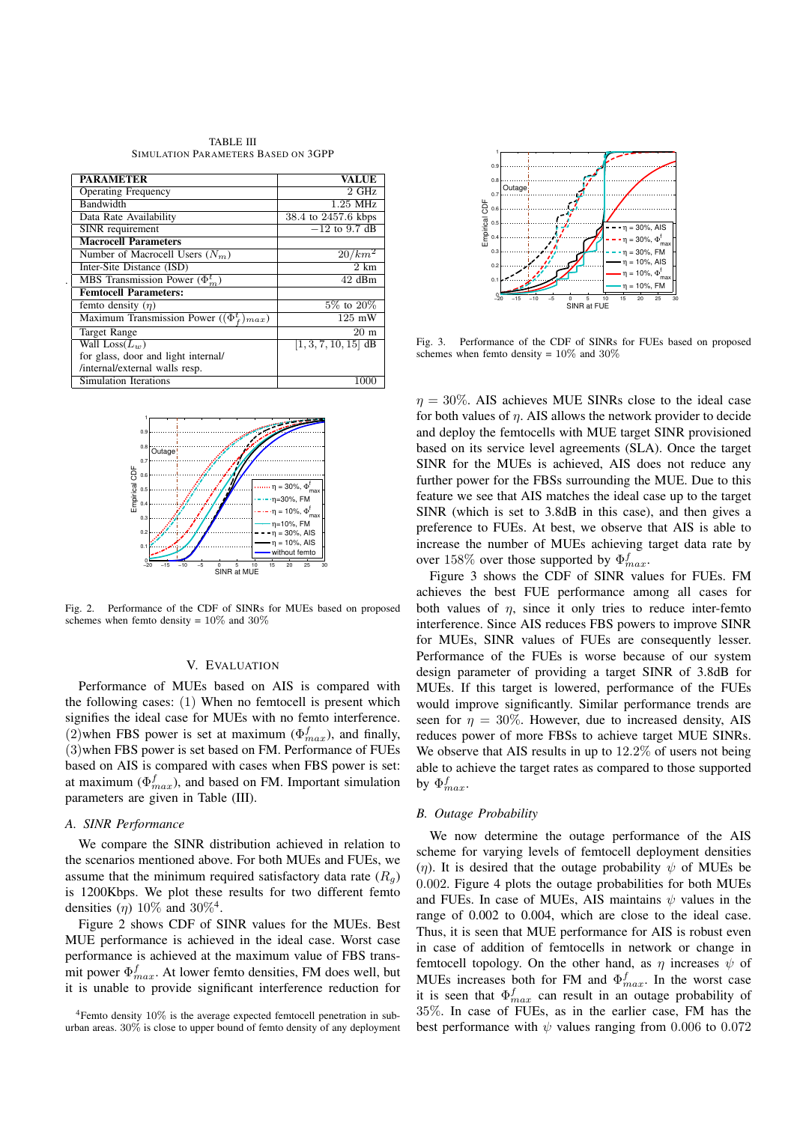| <b>TABLE III</b>                    |  |  |
|-------------------------------------|--|--|
| SIMULATION PARAMETERS BASED ON 3GPP |  |  |

| <b>PARAMETER</b>                                | <b>VALUE</b>           |
|-------------------------------------------------|------------------------|
| <b>Operating Frequency</b>                      | $2$ GHz                |
| Bandwidth                                       | 1.25 MHz               |
| Data Rate Availability                          | 38.4 to 2457.6 kbps    |
| SINR requirement                                | $-12$ to 9.7 dB        |
| <b>Macrocell Parameters</b>                     |                        |
| Number of Macrocell Users $(N_m)$               | $20/km^2$              |
| Inter-Site Distance (ISD)                       | $2 \; \text{km}$       |
| MBS Transmission Power $(\Phi_m^t)$             | 42 dBm                 |
| <b>Femtocell Parameters:</b>                    |                        |
| femto density $(\eta)$                          | $5\%$ to $20\%$        |
| Maximum Transmission Power $((\Phi_f^t)_{max})$ | 125 mW                 |
| <b>Target Range</b>                             | $20 \text{ m}$         |
| Wall $Loss(L_w)$                                | $[1, 3, 7, 10, 15]$ dB |
| for glass, door and light internal/             |                        |
| /internal/external walls resp.                  |                        |
| Simulation Iterations                           | 1000                   |

.



Fig. 2. Performance of the CDF of SINRs for MUEs based on proposed schemes when femto density =  $10\%$  and  $30\%$ 

# V. EVALUATION

Performance of MUEs based on AIS is compared with the following cases: (1) When no femtocell is present which signifies the ideal case for MUEs with no femto interference. (2)when FBS power is set at maximum ( $\Phi_{max}^f$ ), and finally, (3)when FBS power is set based on FM. Performance of FUEs based on AIS is compared with cases when FBS power is set: at maximum ( $\Phi_{max}^f$ ), and based on FM. Important simulation parameters are given in Table (III).

#### *A. SINR Performance*

We compare the SINR distribution achieved in relation to the scenarios mentioned above. For both MUEs and FUEs, we assume that the minimum required satisfactory data rate  $(R<sub>a</sub>)$ is 1200Kbps. We plot these results for two different femto densities  $(\eta)$  10% and 30%<sup>4</sup>.

Figure 2 shows CDF of SINR values for the MUEs. Best MUE performance is achieved in the ideal case. Worst case performance is achieved at the maximum value of FBS transmit power  $\Phi_{max}^f$ . At lower femto densities, FM does well, but it is unable to provide significant interference reduction for

<sup>4</sup>Femto density 10% is the average expected femtocell penetration in suburban areas. 30% is close to upper bound of femto density of any deployment



Fig. 3. Performance of the CDF of SINRs for FUEs based on proposed schemes when femto density = 10% and 30%

 $\eta = 30\%$ . AIS achieves MUE SINRs close to the ideal case for both values of  $\eta$ . AIS allows the network provider to decide and deploy the femtocells with MUE target SINR provisioned based on its service level agreements (SLA). Once the target SINR for the MUEs is achieved, AIS does not reduce any further power for the FBSs surrounding the MUE. Due to this feature we see that AIS matches the ideal case up to the target SINR (which is set to 3.8dB in this case), and then gives a preference to FUEs. At best, we observe that AIS is able to increase the number of MUEs achieving target data rate by over 158% over those supported by  $\Phi_{max}^f$ .

Figure 3 shows the CDF of SINR values for FUEs. FM achieves the best FUE performance among all cases for both values of  $\eta$ , since it only tries to reduce inter-femto interference. Since AIS reduces FBS powers to improve SINR for MUEs, SINR values of FUEs are consequently lesser. Performance of the FUEs is worse because of our system design parameter of providing a target SINR of 3.8dB for MUEs. If this target is lowered, performance of the FUEs would improve significantly. Similar performance trends are seen for  $\eta = 30\%$ . However, due to increased density, AIS reduces power of more FBSs to achieve target MUE SINRs. We observe that AIS results in up to 12.2\% of users not being able to achieve the target rates as compared to those supported by  $\Phi^f_{max}$ .

#### *B. Outage Probability*

We now determine the outage performance of the AIS scheme for varying levels of femtocell deployment densities (η). It is desired that the outage probability  $\psi$  of MUEs be 0.002. Figure 4 plots the outage probabilities for both MUEs and FUEs. In case of MUEs, AIS maintains  $\psi$  values in the range of 0.002 to 0.004, which are close to the ideal case. Thus, it is seen that MUE performance for AIS is robust even in case of addition of femtocells in network or change in femtocell topology. On the other hand, as  $\eta$  increases  $\psi$  of MUEs increases both for FM and  $\Phi_{max}^f$ . In the worst case it is seen that  $\Phi_{max}^f$  can result in an outage probability of 35%. In case of FUEs, as in the earlier case, FM has the best performance with  $\psi$  values ranging from 0.006 to 0.072